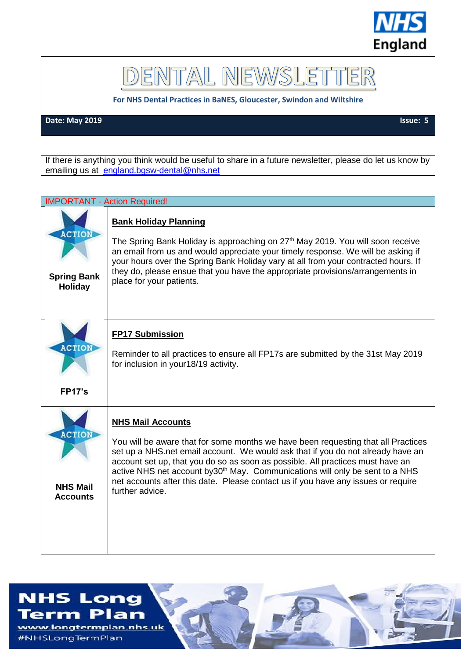

DENTAL NEWSLET ER

**For NHS Dental Practices in BaNES, Gloucester, Swindon and Wiltshire**

**Date: May 2019** Issue: 5

If there is anything you think would be useful to share in a future newsletter, please do let us know by emailing us at [england.bgsw-dental@nhs.net](mailto:england.bgsw-dental@nhs.net)

| <b>IMPORTANT - Action Required!</b>                 |                                                                                                                                                                                                                                                                                                                                                                                                                                                                                         |  |
|-----------------------------------------------------|-----------------------------------------------------------------------------------------------------------------------------------------------------------------------------------------------------------------------------------------------------------------------------------------------------------------------------------------------------------------------------------------------------------------------------------------------------------------------------------------|--|
| <b>ACTION</b><br><b>Spring Bank</b><br>Holiday      | <b>Bank Holiday Planning</b><br>The Spring Bank Holiday is approaching on 27 <sup>th</sup> May 2019. You will soon receive<br>an email from us and would appreciate your timely response. We will be asking if<br>your hours over the Spring Bank Holiday vary at all from your contracted hours. If<br>they do, please ensue that you have the appropriate provisions/arrangements in<br>place for your patients.                                                                      |  |
| <b>ACTION</b><br><b>FP17's</b>                      | <b>FP17 Submission</b><br>Reminder to all practices to ensure all FP17s are submitted by the 31st May 2019<br>for inclusion in your18/19 activity.                                                                                                                                                                                                                                                                                                                                      |  |
| <b>ACTION</b><br><b>NHS Mail</b><br><b>Accounts</b> | <b>NHS Mail Accounts</b><br>You will be aware that for some months we have been requesting that all Practices<br>set up a NHS.net email account. We would ask that if you do not already have an<br>account set up, that you do so as soon as possible. All practices must have an<br>active NHS net account by 30 <sup>th</sup> May. Communications will only be sent to a NHS<br>net accounts after this date. Please contact us if you have any issues or require<br>further advice. |  |

## **NHS Long**

Term Plan www.longtermplan.nhs.uk #NHSLongTermPlan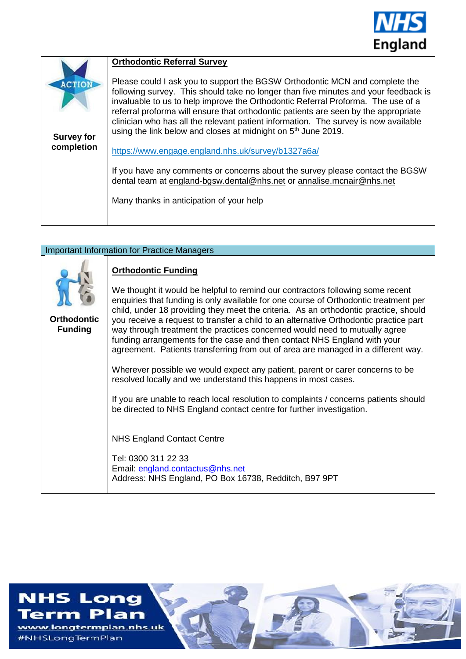

|                                    | <b>Orthodontic Referral Survey</b>                                                                                                                                                                                                                                                                                                                                                                                                                                                                                |
|------------------------------------|-------------------------------------------------------------------------------------------------------------------------------------------------------------------------------------------------------------------------------------------------------------------------------------------------------------------------------------------------------------------------------------------------------------------------------------------------------------------------------------------------------------------|
| <b>ACTION</b><br><b>Survey for</b> | Please could I ask you to support the BGSW Orthodontic MCN and complete the<br>following survey. This should take no longer than five minutes and your feedback is<br>invaluable to us to help improve the Orthodontic Referral Proforma. The use of a<br>referral proforma will ensure that orthodontic patients are seen by the appropriate<br>clinician who has all the relevant patient information. The survey is now available<br>using the link below and closes at midnight on 5 <sup>th</sup> June 2019. |
| completion                         | https://www.engage.england.nhs.uk/survey/b1327a6a/                                                                                                                                                                                                                                                                                                                                                                                                                                                                |
|                                    | If you have any comments or concerns about the survey please contact the BGSW<br>dental team at england-bgsw.dental@nhs.net or annalise.mcnair@nhs.net                                                                                                                                                                                                                                                                                                                                                            |
|                                    | Many thanks in anticipation of your help                                                                                                                                                                                                                                                                                                                                                                                                                                                                          |
|                                    |                                                                                                                                                                                                                                                                                                                                                                                                                                                                                                                   |

| <b>Important Information for Practice Managers</b> |                                                                                                                                                                                                                                                                                                                                                                                                                                                                                                                                                                                                                                                                                                                                                                                                                                                                                                                                                         |  |
|----------------------------------------------------|---------------------------------------------------------------------------------------------------------------------------------------------------------------------------------------------------------------------------------------------------------------------------------------------------------------------------------------------------------------------------------------------------------------------------------------------------------------------------------------------------------------------------------------------------------------------------------------------------------------------------------------------------------------------------------------------------------------------------------------------------------------------------------------------------------------------------------------------------------------------------------------------------------------------------------------------------------|--|
| <b>Orthodontic</b><br><b>Funding</b>               | <b>Orthodontic Funding</b><br>We thought it would be helpful to remind our contractors following some recent<br>enquiries that funding is only available for one course of Orthodontic treatment per<br>child, under 18 providing they meet the criteria. As an orthodontic practice, should<br>you receive a request to transfer a child to an alternative Orthodontic practice part<br>way through treatment the practices concerned would need to mutually agree<br>funding arrangements for the case and then contact NHS England with your<br>agreement. Patients transferring from out of area are managed in a different way.<br>Wherever possible we would expect any patient, parent or carer concerns to be<br>resolved locally and we understand this happens in most cases.<br>If you are unable to reach local resolution to complaints / concerns patients should<br>be directed to NHS England contact centre for further investigation. |  |
|                                                    | <b>NHS England Contact Centre</b><br>Tel: 0300 311 22 33<br>Email: england.contactus@nhs.net<br>Address: NHS England, PO Box 16738, Redditch, B97 9PT                                                                                                                                                                                                                                                                                                                                                                                                                                                                                                                                                                                                                                                                                                                                                                                                   |  |